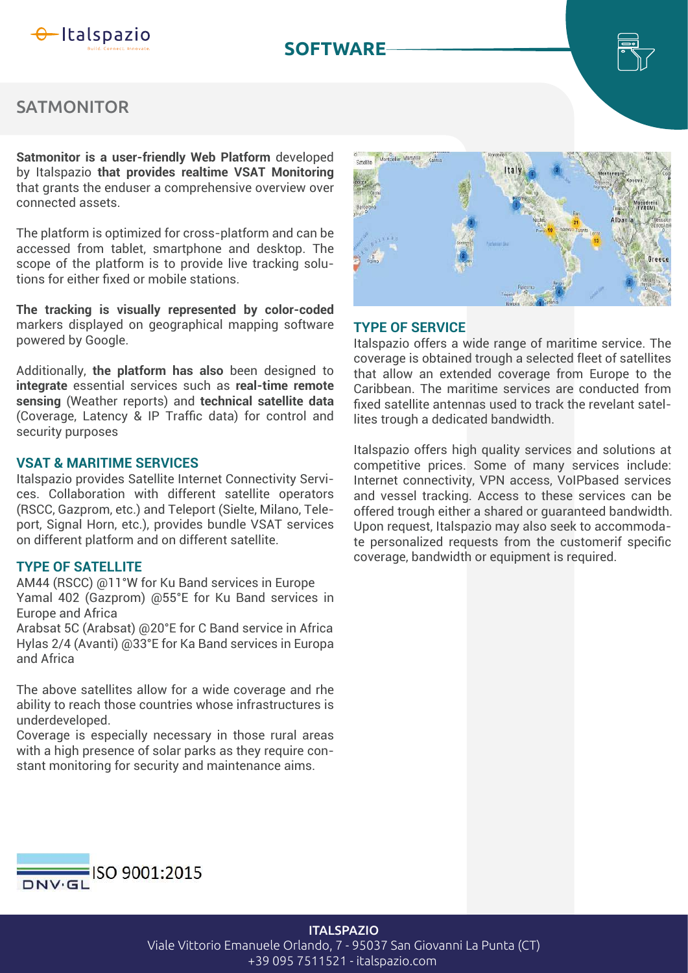

## **SOFTWARE**



# **SATMONITOR**

**Satmonitor is a user-friendly Web Platform** developed by Italspazio **that provides realtime VSAT Monitoring** that grants the enduser a comprehensive overview over connected assets.

The platform is optimized for cross-platform and can be accessed from tablet, smartphone and desktop. The scope of the platform is to provide live tracking solutions for either fixed or mobile stations.

**The tracking is visually represented by color-coded** markers displayed on geographical mapping software powered by Google.

Additionally, **the platform has also** been designed to **integrate** essential services such as **real-time remote sensing** (Weather reports) and **technical satellite data** (Coverage, Latency & IP Traffic data) for control and security purposes

#### **VSAT & MARITIME SERVICES**

Italspazio provides Satellite Internet Connectivity Services. Collaboration with different satellite operators (RSCC, Gazprom, etc.) and Teleport (Sielte, Milano, Teleport, Signal Horn, etc.), provides bundle VSAT services on different platform and on different satellite.

AM44 (RSCC) @11°W for Ku Band services in Europe Yamal 402 (Gazprom) @55°E for Ku Band services in Europe and Africa

Arabsat 5C (Arabsat) @20°E for C Band service in Africa Hylas 2/4 (Avanti) @33°E for Ka Band services in Europa and Africa

The above satellites allow for a wide coverage and rhe ability to reach those countries whose infrastructures is underdeveloped.

Coverage is especially necessary in those rural areas with a high presence of solar parks as they require constant monitoring for security and maintenance aims.



### **TYPE OF SERVICE**

Italspazio offers a wide range of maritime service. The coverage is obtained trough a selected fleet of satellites that allow an extended coverage from Europe to the Caribbean. The maritime services are conducted from fixed satellite antennas used to track the revelant satellites trough a dedicated bandwidth.

Italspazio offers high quality services and solutions at competitive prices. Some of many services include: Internet connectivity, VPN access, VoIPbased services and vessel tracking. Access to these services can be offered trough either a shared or guaranteed bandwidth. Upon request, Italspazio may also seek to accommodate personalized requests from the customerif specific coverage, bandwidth or equipment is required. **TYPE OF SATELLITE**



#### **ITALSPAZIO**

Viale Vittorio Emanuele Orlando, 7 - 95037 San Giovanni La Punta (CT) +39 095 7511521 - italspazio.com